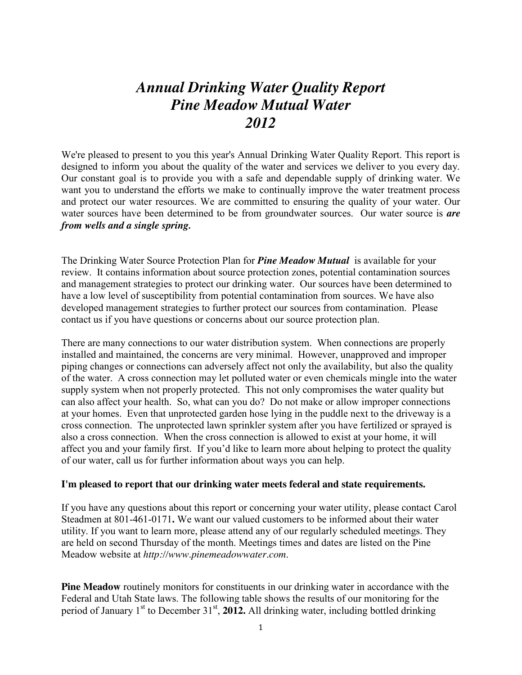## *Annual Drinking Water Quality Report Pine Meadow Mutual Water 2012*

We're pleased to present to you this year's Annual Drinking Water Quality Report. This report is designed to inform you about the quality of the water and services we deliver to you every day. Our constant goal is to provide you with a safe and dependable supply of drinking water. We want you to understand the efforts we make to continually improve the water treatment process and protect our water resources. We are committed to ensuring the quality of your water. Our water sources have been determined to be from groundwater sources. Our water source is *are from wells and a single spring.*

The Drinking Water Source Protection Plan for *Pine Meadow Mutual* is available for your review. It contains information about source protection zones, potential contamination sources and management strategies to protect our drinking water. Our sources have been determined to have a low level of susceptibility from potential contamination from sources. We have also developed management strategies to further protect our sources from contamination. Please contact us if you have questions or concerns about our source protection plan.

There are many connections to our water distribution system. When connections are properly installed and maintained, the concerns are very minimal. However, unapproved and improper piping changes or connections can adversely affect not only the availability, but also the quality of the water. A cross connection may let polluted water or even chemicals mingle into the water supply system when not properly protected. This not only compromises the water quality but can also affect your health. So, what can you do? Do not make or allow improper connections at your homes. Even that unprotected garden hose lying in the puddle next to the driveway is a cross connection. The unprotected lawn sprinkler system after you have fertilized or sprayed is also a cross connection. When the cross connection is allowed to exist at your home, it will affect you and your family first. If you'd like to learn more about helping to protect the quality of our water, call us for further information about ways you can help.

## **I'm pleased to report that our drinking water meets federal and state requirements.**

If you have any questions about this report or concerning your water utility, please contact Carol Steadmen at 801-461-0171**.** We want our valued customers to be informed about their water utility. If you want to learn more, please attend any of our regularly scheduled meetings. They are held on second Thursday of the month. Meetings times and dates are listed on the Pine Meadow website at *http://www.pinemeadowwater.com*.

**Pine Meadow** routinely monitors for constituents in our drinking water in accordance with the Federal and Utah State laws. The following table shows the results of our monitoring for the period of January 1<sup>st</sup> to December 31<sup>st</sup>, 2012. All drinking water, including bottled drinking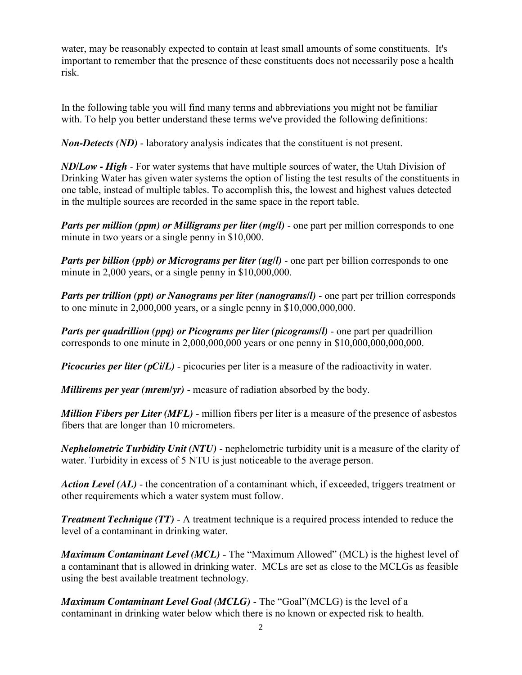water, may be reasonably expected to contain at least small amounts of some constituents. It's important to remember that the presence of these constituents does not necessarily pose a health risk.

In the following table you will find many terms and abbreviations you might not be familiar with. To help you better understand these terms we've provided the following definitions:

*Non-Detects (ND)* - laboratory analysis indicates that the constituent is not present.

*ND/Low - High -* For water systems that have multiple sources of water, the Utah Division of Drinking Water has given water systems the option of listing the test results of the constituents in one table, instead of multiple tables. To accomplish this, the lowest and highest values detected in the multiple sources are recorded in the same space in the report table.

*Parts per million (ppm) or Milligrams per liter (mg/l)* - one part per million corresponds to one minute in two years or a single penny in \$10,000.

*Parts per billion (ppb) or Micrograms per liter (ug/l)* - one part per billion corresponds to one minute in 2,000 years, or a single penny in \$10,000,000.

*Parts per trillion (ppt) or Nanograms per liter (nanograms/l)* - one part per trillion corresponds to one minute in  $2,000,000$  years, or a single penny in  $$10,000,000,000$ .

*Parts per quadrillion (ppq) or Picograms per liter (picograms/l)* - one part per quadrillion corresponds to one minute in 2,000,000,000 years or one penny in \$10,000,000,000,000.

*Picocuries per liter (pCi/L)* - picocuries per liter is a measure of the radioactivity in water.

*Millirems per year (mrem/yr)* - measure of radiation absorbed by the body.

*Million Fibers per Liter (MFL)* - million fibers per liter is a measure of the presence of asbestos fibers that are longer than 10 micrometers.

*Nephelometric Turbidity Unit (NTU)* - nephelometric turbidity unit is a measure of the clarity of water. Turbidity in excess of 5 NTU is just noticeable to the average person.

*Action Level (AL)* - the concentration of a contaminant which, if exceeded, triggers treatment or other requirements which a water system must follow.

*Treatment Technique (TT)* - A treatment technique is a required process intended to reduce the level of a contaminant in drinking water.

*Maximum Contaminant Level (MCL)* - The "Maximum Allowed" (MCL) is the highest level of a contaminant that is allowed in drinking water. MCLs are set as close to the MCLGs as feasible using the best available treatment technology.

*Maximum Contaminant Level Goal (MCLG)* - The "Goal"(MCLG) is the level of a contaminant in drinking water below which there is no known or expected risk to health.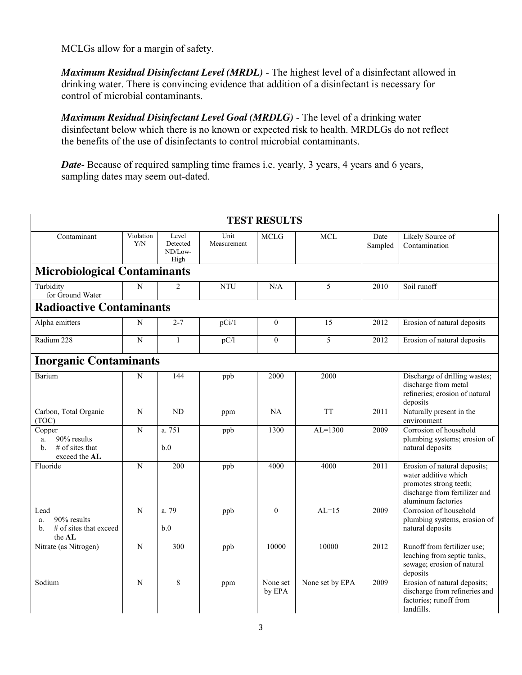MCLGs allow for a margin of safety.

*Maximum Residual Disinfectant Level (MRDL)* - The highest level of a disinfectant allowed in drinking water. There is convincing evidence that addition of a disinfectant is necessary for control of microbial contaminants.

*Maximum Residual Disinfectant Level Goal (MRDLG)* - The level of a drinking water disinfectant below which there is no known or expected risk to health. MRDLGs do not reflect the benefits of the use of disinfectants to control microbial contaminants.

*Date*- Because of required sampling time frames i.e. yearly, 3 years, 4 years and 6 years, sampling dates may seem out-dated.

| <b>TEST RESULTS</b>                                                          |                  |                                      |                     |                    |                 |                 |                                                                                                                                       |
|------------------------------------------------------------------------------|------------------|--------------------------------------|---------------------|--------------------|-----------------|-----------------|---------------------------------------------------------------------------------------------------------------------------------------|
| Contaminant                                                                  | Violation<br>Y/N | Level<br>Detected<br>ND/Low-<br>High | Unit<br>Measurement | <b>MCLG</b>        | $\rm MCL$       | Date<br>Sampled | Likely Source of<br>Contamination                                                                                                     |
| <b>Microbiological Contaminants</b>                                          |                  |                                      |                     |                    |                 |                 |                                                                                                                                       |
| Turbidity<br>for Ground Water                                                | N                | $\mathfrak{D}$                       | <b>NTU</b>          | N/A                | 5               | 2010            | Soil runoff                                                                                                                           |
| <b>Radioactive Contaminants</b>                                              |                  |                                      |                     |                    |                 |                 |                                                                                                                                       |
| Alpha emitters                                                               | N                | $2 - 7$                              | pCi/1               | $\mathbf{0}$       | 15              | 2012            | Erosion of natural deposits                                                                                                           |
| Radium 228                                                                   | N                | $\mathbf{1}$                         | pC/l                | $\theta$           | 5               | 2012            | Erosion of natural deposits                                                                                                           |
| <b>Inorganic Contaminants</b>                                                |                  |                                      |                     |                    |                 |                 |                                                                                                                                       |
| Barium                                                                       | N                | 144                                  | ppb                 | 2000               | 2000            |                 | Discharge of drilling wastes;<br>discharge from metal<br>refineries; erosion of natural<br>deposits                                   |
| Carbon, Total Organic<br>(TOC)                                               | $\overline{N}$   | <b>ND</b>                            | ppm                 | $\overline{NA}$    | <b>TT</b>       | 2011            | Naturally present in the<br>environment                                                                                               |
| Copper<br>90% results<br>a.<br>$#$ of sites that<br>b.<br>exceed the AL      | $\mathbf N$      | a. 751<br>b.0                        | ppb                 | 1300               | $AL=1300$       | 2009            | Corrosion of household<br>plumbing systems; erosion of<br>natural deposits                                                            |
| Fluoride                                                                     | $\overline{N}$   | 200                                  | ppb                 | 4000               | 4000            | 2011            | Erosion of natural deposits;<br>water additive which<br>promotes strong teeth;<br>discharge from fertilizer and<br>aluminum factories |
| Lead<br>90% results<br>a.<br># of sites that exceed<br>$h_{\cdot}$<br>the AL | $\overline{N}$   | a.79<br>b.0                          | ppb                 | $\theta$           | $AL=15$         | 2009            | Corrosion of household<br>plumbing systems, erosion of<br>natural deposits                                                            |
| Nitrate (as Nitrogen)                                                        | N                | 300                                  | ppb                 | 10000              | 10000           | 2012            | Runoff from fertilizer use;<br>leaching from septic tanks,<br>sewage; erosion of natural<br>deposits                                  |
| Sodium                                                                       | $\mathbf N$      | 8                                    | ppm                 | None set<br>by EPA | None set by EPA | 2009            | Erosion of natural deposits;<br>discharge from refineries and<br>factories; runoff from<br>landfills.                                 |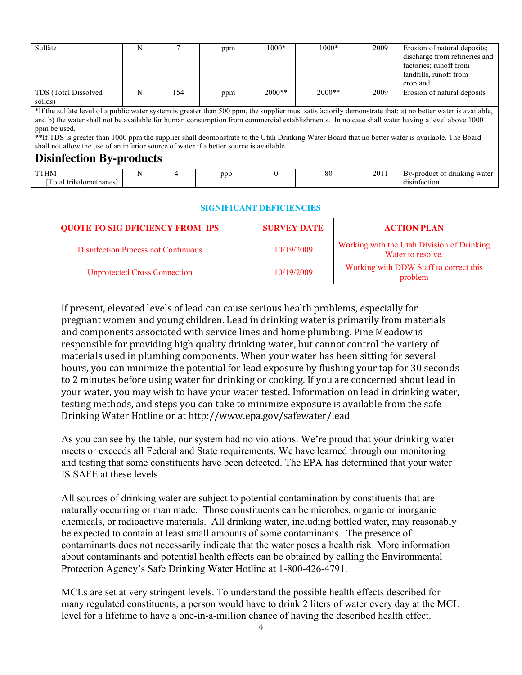| Sulfate                                                                                                                                                     | N |     | ppm | $1000*$  | $1000*$  | 2009 | Erosion of natural deposits;  |
|-------------------------------------------------------------------------------------------------------------------------------------------------------------|---|-----|-----|----------|----------|------|-------------------------------|
|                                                                                                                                                             |   |     |     |          |          |      | discharge from refineries and |
|                                                                                                                                                             |   |     |     |          |          |      | factories; runoff from        |
|                                                                                                                                                             |   |     |     |          |          |      | landfills, runoff from        |
|                                                                                                                                                             |   |     |     |          |          |      | cropland                      |
| TDS (Total Dissolved                                                                                                                                        | N | 154 | ppm | $2000**$ | $2000**$ | 2009 | Erosion of natural deposits   |
| solids)                                                                                                                                                     |   |     |     |          |          |      |                               |
| *If the sulfate level of a public water system is greater than 500 ppm, the supplier must satisfactorily demonstrate that: a) no better water is available, |   |     |     |          |          |      |                               |
| and b) the water shall not be available for human consumption from commercial establishments. In no case shall water having a level above 1000              |   |     |     |          |          |      |                               |
| ppm be used.                                                                                                                                                |   |     |     |          |          |      |                               |
| **If TDS is greater than 1000 ppm the supplier shall deomonstrate to the Utah Drinking Water Board that no better water is available. The Board             |   |     |     |          |          |      |                               |
| shall not allow the use of an inferior source of water if a better source is available.                                                                     |   |     |     |          |          |      |                               |
| <b>Disinfection By-products</b>                                                                                                                             |   |     |     |          |          |      |                               |
| <b>TTHM</b>                                                                                                                                                 | N | 4   | ppb | $\Omega$ | 80       | 2011 | By-product of drinking water  |
| Total trihalomethanes]                                                                                                                                      |   |     |     |          |          |      | disinfection                  |

| <b>SIGNIFICANT DEFICIENCIES</b>            |                    |                                                                 |  |  |  |  |
|--------------------------------------------|--------------------|-----------------------------------------------------------------|--|--|--|--|
| <b>QUOTE TO SIG DFICIENCY FROM IPS</b>     | <b>SURVEY DATE</b> | <b>ACTION PLAN</b>                                              |  |  |  |  |
| <b>Disinfection Process not Continuous</b> | 10/19/2009         | Working with the Utah Division of Drinking<br>Water to resolve. |  |  |  |  |
| <b>Unprotected Cross Connection</b>        | 10/19/2009         | Working with DDW Staff to correct this<br>problem               |  |  |  |  |

If present, elevated levels of lead can cause serious health problems, especially for pregnant women and young children. Lead in drinking water is primarily from materials and components associated with service lines and home plumbing. Pine Meadow is responsible for providing high quality drinking water, but cannot control the variety of materials used in plumbing components. When your water has been sitting for several hours, you can minimize the potential for lead exposure by flushing your tap for 30 seconds to 2 minutes before using water for drinking or cooking. If you are concerned about lead in your water, you may wish to have your water tested. Information on lead in drinking water, testing methods, and steps you can take to minimize exposure is available from the safe Drinking Water Hotline or at http://www.epa.gov/safewater/lead.

As you can see by the table, our system had no violations. We're proud that your drinking water meets or exceeds all Federal and State requirements. We have learned through our monitoring and testing that some constituents have been detected. The EPA has determined that your water IS SAFE at these levels.

All sources of drinking water are subject to potential contamination by constituents that are naturally occurring or man made. Those constituents can be microbes, organic or inorganic chemicals, or radioactive materials. All drinking water, including bottled water, may reasonably be expected to contain at least small amounts of some contaminants. The presence of contaminants does not necessarily indicate that the water poses a health risk. More information about contaminants and potential health effects can be obtained by calling the Environmental Protection Agency's Safe Drinking Water Hotline at 1-800-426-4791.

MCLs are set at very stringent levels. To understand the possible health effects described for many regulated constituents, a person would have to drink 2 liters of water every day at the MCL level for a lifetime to have a one-in-a-million chance of having the described health effect.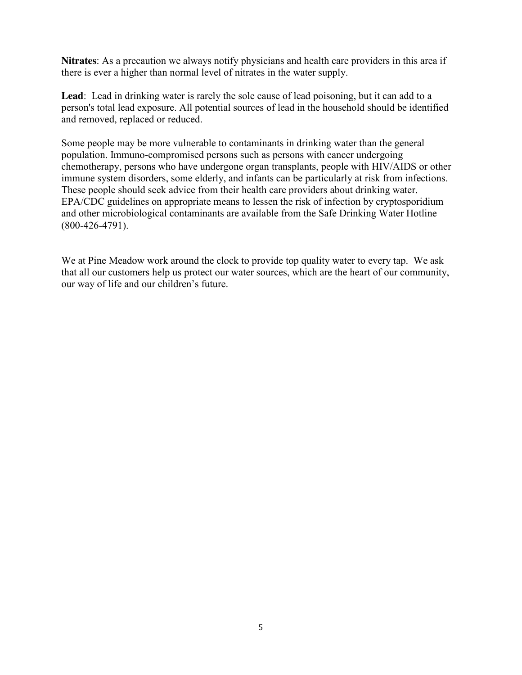**Nitrates**: As a precaution we always notify physicians and health care providers in this area if there is ever a higher than normal level of nitrates in the water supply.

**Lead**: Lead in drinking water is rarely the sole cause of lead poisoning, but it can add to a person's total lead exposure. All potential sources of lead in the household should be identified and removed, replaced or reduced.

Some people may be more vulnerable to contaminants in drinking water than the general population. Immuno-compromised persons such as persons with cancer undergoing chemotherapy, persons who have undergone organ transplants, people with HIV/AIDS or other immune system disorders, some elderly, and infants can be particularly at risk from infections. These people should seek advice from their health care providers about drinking water. EPA/CDC guidelines on appropriate means to lessen the risk of infection by cryptosporidium and other microbiological contaminants are available from the Safe Drinking Water Hotline (800-426-4791).

We at Pine Meadow work around the clock to provide top quality water to every tap. We ask that all our customers help us protect our water sources, which are the heart of our community, our way of life and our children's future.